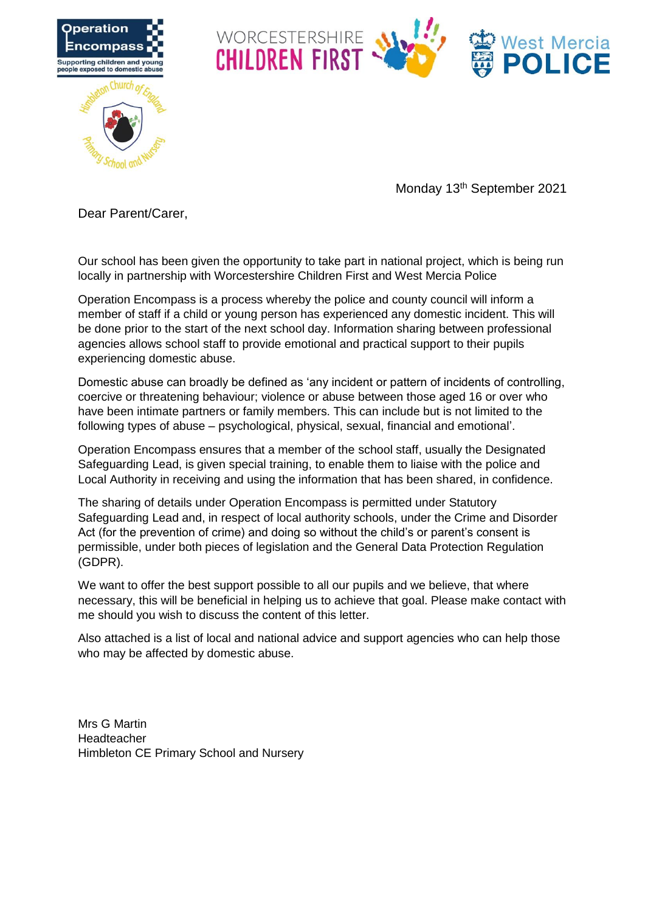



Monday 13th September 2021

Dear Parent/Carer,

Our school has been given the opportunity to take part in national project, which is being run locally in partnership with Worcestershire Children First and West Mercia Police

Operation Encompass is a process whereby the police and county council will inform a member of staff if a child or young person has experienced any domestic incident. This will be done prior to the start of the next school day. Information sharing between professional agencies allows school staff to provide emotional and practical support to their pupils experiencing domestic abuse.

Domestic abuse can broadly be defined as 'any incident or pattern of incidents of controlling, coercive or threatening behaviour; violence or abuse between those aged 16 or over who have been intimate partners or family members. This can include but is not limited to the following types of abuse – psychological, physical, sexual, financial and emotional'.

Operation Encompass ensures that a member of the school staff, usually the Designated Safeguarding Lead, is given special training, to enable them to liaise with the police and Local Authority in receiving and using the information that has been shared, in confidence.

The sharing of details under Operation Encompass is permitted under Statutory Safeguarding Lead and, in respect of local authority schools, under the Crime and Disorder Act (for the prevention of crime) and doing so without the child's or parent's consent is permissible, under both pieces of legislation and the General Data Protection Regulation (GDPR).

We want to offer the best support possible to all our pupils and we believe, that where necessary, this will be beneficial in helping us to achieve that goal. Please make contact with me should you wish to discuss the content of this letter.

Also attached is a list of local and national advice and support agencies who can help those who may be affected by domestic abuse.

Mrs G Martin Headteacher Himbleton CE Primary School and Nursery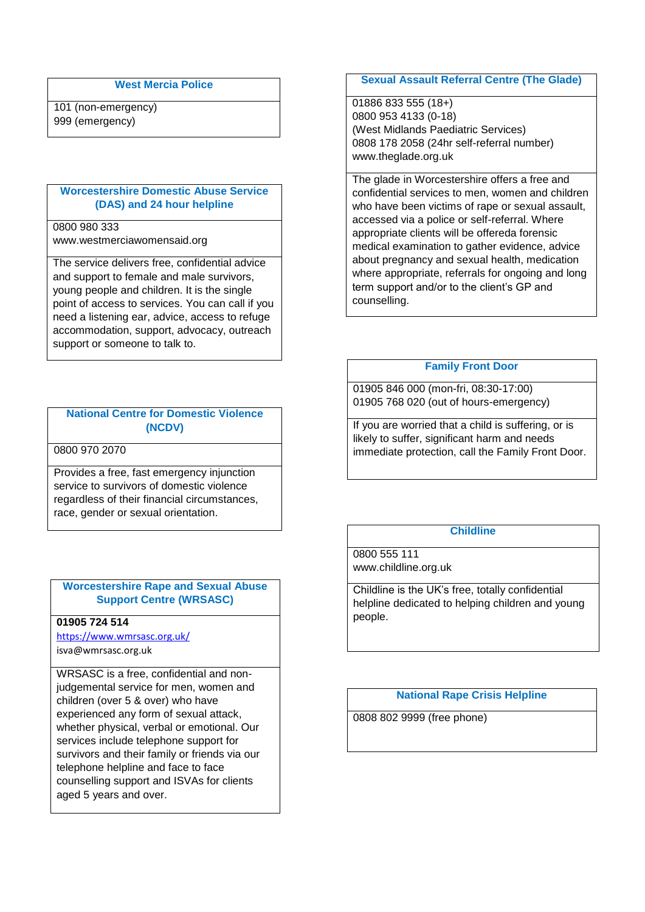## **West Mercia Police**

101 (non-emergency) 999 (emergency)

### **Worcestershire Domestic Abuse Service (DAS) and 24 hour helpline**

## 0800 980 333

www.westmerciawomensaid.org

The service delivers free, confidential advice and support to female and male survivors, young people and children. It is the single point of access to services. You can call if you need a listening ear, advice, access to refuge accommodation, support, advocacy, outreach support or someone to talk to.

## **National Centre for Domestic Violence (NCDV)**

0800 970 2070

Provides a free, fast emergency injunction service to survivors of domestic violence regardless of their financial circumstances, race, gender or sexual orientation.

## **Worcestershire Rape and Sexual Abuse Support Centre (WRSASC)**

## **01905 724 514**

<https://www.wmrsasc.org.uk/> isva@wmrsasc.org.uk

WRSASC is a free, confidential and nonjudgemental service for men, women and children (over 5 & over) who have experienced any form of sexual attack, whether physical, verbal or emotional. Our services include telephone support for survivors and their family or friends via our telephone helpline and face to face counselling support and ISVAs for clients aged 5 years and over.

### **Sexual Assault Referral Centre (The Glade)**

01886 833 555 (18+) 0800 953 4133 (0-18) (West Midlands Paediatric Services) 0808 178 2058 (24hr self-referral number) www.theglade.org.uk

The glade in Worcestershire offers a free and confidential services to men, women and children who have been victims of rape or sexual assault, accessed via a police or self-referral. Where appropriate clients will be offereda forensic medical examination to gather evidence, advice about pregnancy and sexual health, medication where appropriate, referrals for ongoing and long term support and/or to the client's GP and counselling.

### **Family Front Door**

01905 846 000 (mon-fri, 08:30-17:00) 01905 768 020 (out of hours-emergency)

If you are worried that a child is suffering, or is likely to suffer, significant harm and needs immediate protection, call the Family Front Door.

# **Childline**

0800 555 111 www.childline.org.uk

Childline is the UK's free, totally confidential helpline dedicated to helping children and young people.

**National Rape Crisis Helpline**

0808 802 9999 (free phone)